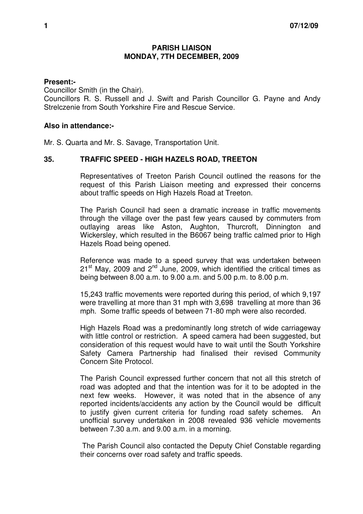## **PARISH LIAISON MONDAY, 7TH DECEMBER, 2009**

## **Present:-**

Councillor Smith (in the Chair). Councillors R. S. Russell and J. Swift and Parish Councillor G. Payne and Andy Strelczenie from South Yorkshire Fire and Rescue Service.

## **Also in attendance:-**

Mr. S. Quarta and Mr. S. Savage, Transportation Unit.

## **35. TRAFFIC SPEED - HIGH HAZELS ROAD, TREETON**

 Representatives of Treeton Parish Council outlined the reasons for the request of this Parish Liaison meeting and expressed their concerns about traffic speeds on High Hazels Road at Treeton.

The Parish Council had seen a dramatic increase in traffic movements through the village over the past few years caused by commuters from outlaying areas like Aston, Aughton, Thurcroft, Dinnington and Wickersley, which resulted in the B6067 being traffic calmed prior to High Hazels Road being opened.

Reference was made to a speed survey that was undertaken between  $21<sup>st</sup>$  May, 2009 and  $2<sup>nd</sup>$  June, 2009, which identified the critical times as being between 8.00 a.m. to 9.00 a.m. and 5.00 p.m. to 8.00 p.m.

15,243 traffic movements were reported during this period, of which 9,197 were travelling at more than 31 mph with 3,698 travelling at more than 36 mph. Some traffic speeds of between 71-80 mph were also recorded.

High Hazels Road was a predominantly long stretch of wide carriageway with little control or restriction. A speed camera had been suggested, but consideration of this request would have to wait until the South Yorkshire Safety Camera Partnership had finalised their revised Community Concern Site Protocol.

The Parish Council expressed further concern that not all this stretch of road was adopted and that the intention was for it to be adopted in the next few weeks. However, it was noted that in the absence of any reported incidents/accidents any action by the Council would be difficult to justify given current criteria for funding road safety schemes. An unofficial survey undertaken in 2008 revealed 936 vehicle movements between 7.30 a.m. and 9.00 a.m. in a morning.

 The Parish Council also contacted the Deputy Chief Constable regarding their concerns over road safety and traffic speeds.